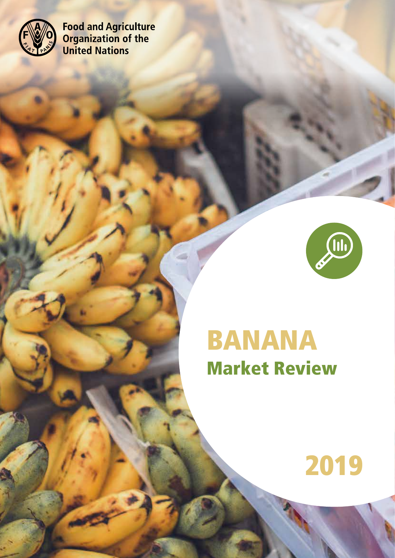

**Food and Agriculture<br>Organization of the<br>United Nations** 



# BANANA Market Review

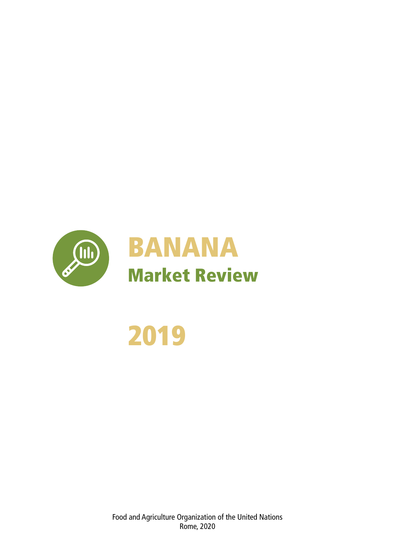



Food and Agriculture Organization of the United Nations Rome, 2020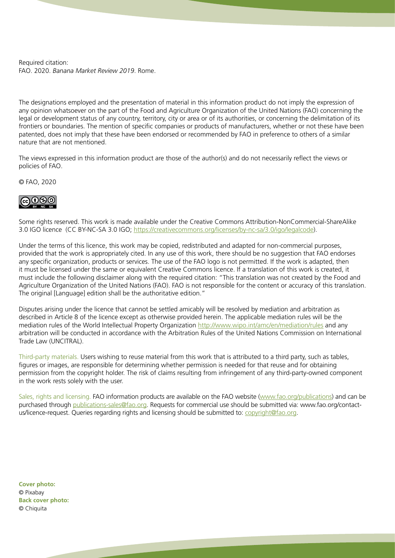Required citation: FAO. 2020. *Banana Market Review 2019*. Rome.

The designations employed and the presentation of material in this information product do not imply the expression of any opinion whatsoever on the part of the Food and Agriculture Organization of the United Nations (FAO) concerning the legal or development status of any country, territory, city or area or of its authorities, or concerning the delimitation of its frontiers or boundaries. The mention of specific companies or products of manufacturers, whether or not these have been patented, does not imply that these have been endorsed or recommended by FAO in preference to others of a similar nature that are not mentioned.

The views expressed in this information product are those of the author(s) and do not necessarily reflect the views or policies of FAO.

© FAO, 2020



Some rights reserved. This work is made available under the Creative Commons Attribution-NonCommercial-ShareAlike 3.0 IGO licence (CC BY-NC-SA 3.0 IGO; [https://creativecommons.org/licenses/by-nc-sa/3.0/igo/legalcode\)](https://creativecommons.org/licenses/by-nc-sa/3.0/igo/legalcode).

Under the terms of this licence, this work may be copied, redistributed and adapted for non-commercial purposes, provided that the work is appropriately cited. In any use of this work, there should be no suggestion that FAO endorses any specific organization, products or services. The use of the FAO logo is not permitted. If the work is adapted, then it must be licensed under the same or equivalent Creative Commons licence. If a translation of this work is created, it must include the following disclaimer along with the required citation: "This translation was not created by the Food and Agriculture Organization of the United Nations (FAO). FAO is not responsible for the content or accuracy of this translation. The original [Language] edition shall be the authoritative edition."

Disputes arising under the licence that cannot be settled amicably will be resolved by mediation and arbitration as described in Article 8 of the licence except as otherwise provided herein. The applicable mediation rules will be the mediation rules of the World Intellectual Property Organization <http://www.wipo.int/amc/en/mediation/rules> and any arbitration will be conducted in accordance with the Arbitration Rules of the United Nations Commission on International Trade Law (UNCITRAL).

Third-party materials. Users wishing to reuse material from this work that is attributed to a third party, such as tables, figures or images, are responsible for determining whether permission is needed for that reuse and for obtaining permission from the copyright holder. The risk of claims resulting from infringement of any third-party-owned component in the work rests solely with the user.

Sales, rights and licensing. FAO information products are available on the FAO website [\(www.fao.org/publications](http://www.fao.org/publications)) and can be purchased through [publications-sales@fao.org](mailto:publications-sales%40fao.org?subject=). Requests for commercial use should be submitted via: www.fao.org/contactus/licence-request. Queries regarding rights and licensing should be submitted to: [copyright@fao.org](mailto:copyright%40fao.org?subject=).

**Cover photo:** © Pixabay **Back cover photo:** © Chiquita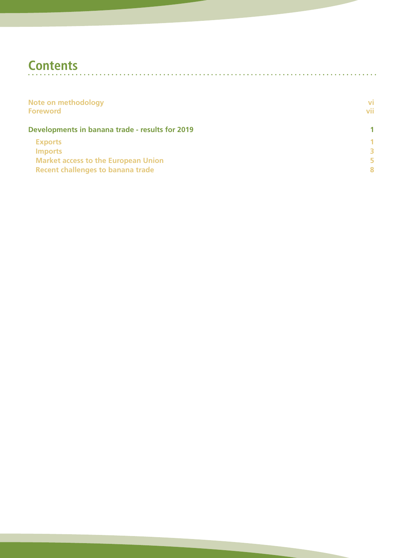# **Contents**

| Note on methodology<br><b>Foreword</b>          | VĪ<br>vii |
|-------------------------------------------------|-----------|
| Developments in banana trade - results for 2019 |           |
| <b>Exports</b>                                  | 1         |
| <b>Imports</b>                                  | R         |
| <b>Market access to the European Union</b>      | 5         |
| <b>Recent challenges to banana trade</b>        | 8         |

 $\sim$   $\sim$  $\mathbf{r}$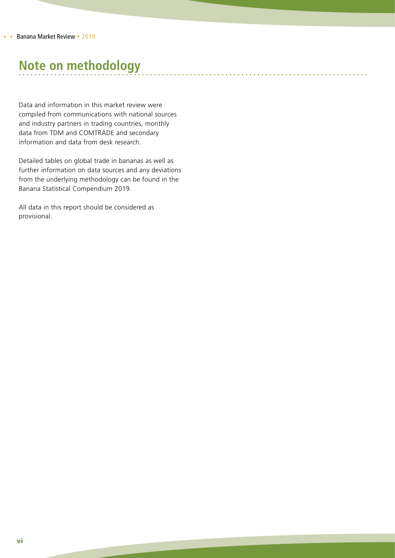# **Note on methodology**

Data and information in this market review were compiled from communications with national sources and industry partners in trading countries, monthly data from TDM and COMTRADE and secondary information and data from desk research.

Detailed tables on global trade in bananas as well as further information on data sources and any deviations from the underlying methodology can be found in the Banana Statistical Compendium 2019.

All data in this report should be considered as provisional.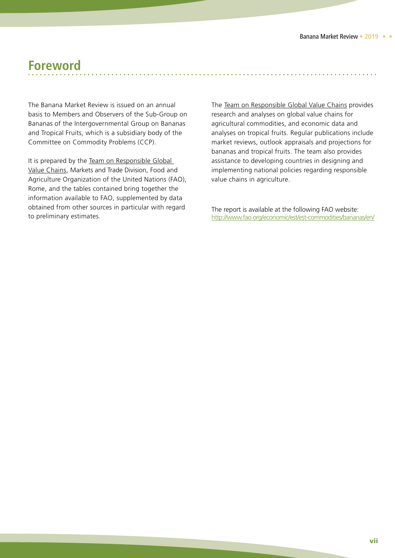### **Foreword**

The Banana Market Review is issued on an annual basis to Members and Observers of the Sub-Group on Bananas of the Intergovernmental Group on Bananas and Tropical Fruits, which is a subsidiary body of the Committee on Commodity Problems (CCP).

It is prepared by the Team on Responsible Global Value Chains, Markets and Trade Division, Food and Agriculture Organization of the United Nations (FAO), Rome, and the tables contained bring together the information available to FAO, supplemented by data obtained from other sources in particular with regard to preliminary estimates.

The Team on Responsible Global Value Chains provides research and analyses on global value chains for agricultural commodities, and economic data and analyses on tropical fruits. Regular publications include market reviews, outlook appraisals and projections for bananas and tropical fruits. The team also provides assistance to developing countries in designing and implementing national policies regarding responsible value chains in agriculture.

The report is available at the following FAO website: <http://www.fao.org/economic/est/est-commodities/bananas/en/>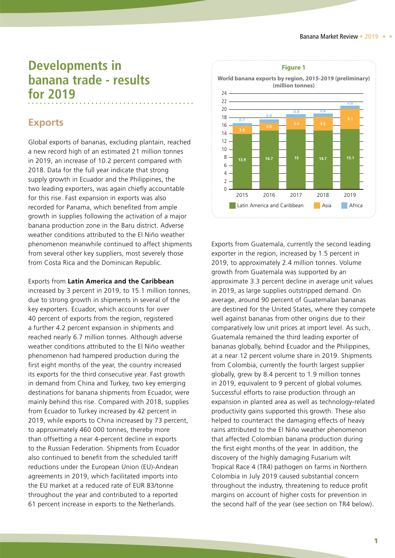## <span id="page-8-0"></span>**Developments in banana trade - results for 2019**

#### **Exports**

Global exports of bananas, excluding plantain, reached a new record high of an estimated 21 million tonnes in 2019, an increase of 10.2 percent compared with 2018. Data for the full year indicate that strong supply growth in Ecuador and the Philippines, the two leading exporters, was again chiefly accountable for this rise. Fast expansion in exports was also recorded for Panama, which benefited from ample growth in supplies following the activation of a major banana production zone in the Baru district. Adverse weather conditions attributed to the El Niño weather phenomenon meanwhile continued to affect shipments from several other key suppliers, most severely those from Costa Rica and the Dominican Republic.

Exports from **Latin America and the Caribbean** increased by 3 percent in 2019, to 15.1 million tonnes, due to strong growth in shipments in several of the key exporters. Ecuador, which accounts for over 40 percent of exports from the region, registered a further 4.2 percent expansion in shipments and reached nearly 6.7 million tonnes. Although adverse weather conditions attributed to the El Niño weather phenomenon had hampered production during the first eight months of the year, the country increased its exports for the third consecutive year. Fast growth in demand from China and Turkey, two key emerging destinations for banana shipments from Ecuador, were mainly behind this rise. Compared with 2018, supplies from Ecuador to Turkey increased by 42 percent in 2019, while exports to China increased by 73 percent, to approximately 460 000 tonnes, thereby more than offsetting a near 4-percent decline in exports to the Russian Federation. Shipments from Ecuador also continued to benefit from the scheduled tariff reductions under the European Union (EU)-Andean agreements in 2019, which facilitated imports into the EU market at a reduced rate of EUR 83/tonne throughout the year and contributed to a reported 61 percent increase in exports to the Netherlands.



Exports from Guatemala, currently the second leading exporter in the region, increased by 1.5 percent in 2019, to approximately 2.4 million tonnes. Volume growth from Guatemala was supported by an approximate 3.3 percent decline in average unit values in 2019, as large supplies outstripped demand. On average, around 90 percent of Guatemalan bananas are destined for the United States, where they compete well against bananas from other origins due to their comparatively low unit prices at import level. As such, Guatemala remained the third leading exporter of bananas globally, behind Ecuador and the Philippines, at a near 12 percent volume share in 2019. Shipments from Colombia, currently the fourth largest supplier globally, grew by 8.4 percent to 1.9 million tonnes in 2019, equivalent to 9 percent of global volumes. Successful efforts to raise production through an expansion in planted area as well as technology-related productivity gains supported this growth. These also helped to counteract the damaging effects of heavy rains attributed to the El Niño weather phenomenon that affected Colombian banana production during the first eight months of the year. In addition, the discovery of the highly damaging Fusarium wilt Tropical Race 4 (TR4) pathogen on farms in Northern Colombia in July 2019 caused substantial concern throughout the industry, threatening to reduce profit margins on account of higher costs for prevention in the second half of the year (see section on TR4 below).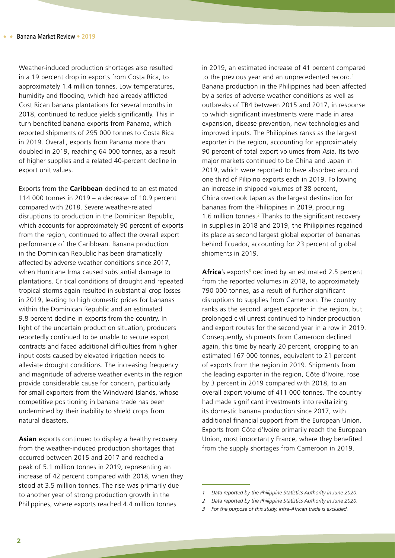Weather-induced production shortages also resulted in a 19 percent drop in exports from Costa Rica, to approximately 1.4 million tonnes. Low temperatures, humidity and flooding, which had already afflicted Cost Rican banana plantations for several months in 2018, continued to reduce yields significantly. This in turn benefited banana exports from Panama, which reported shipments of 295 000 tonnes to Costa Rica in 2019. Overall, exports from Panama more than doubled in 2019, reaching 64 000 tonnes, as a result of higher supplies and a related 40-percent decline in export unit values.

Exports from the **Caribbean** declined to an estimated 114 000 tonnes in 2019 – a decrease of 10.9 percent compared with 2018. Severe weather-related disruptions to production in the Dominican Republic, which accounts for approximately 90 percent of exports from the region, continued to affect the overall export performance of the Caribbean. Banana production in the Dominican Republic has been dramatically affected by adverse weather conditions since 2017, when Hurricane Irma caused substantial damage to plantations. Critical conditions of drought and repeated tropical storms again resulted in substantial crop losses in 2019, leading to high domestic prices for bananas within the Dominican Republic and an estimated 9.8 percent decline in exports from the country. In light of the uncertain production situation, producers reportedly continued to be unable to secure export contracts and faced additional difficulties from higher input costs caused by elevated irrigation needs to alleviate drought conditions. The increasing frequency and magnitude of adverse weather events in the region provide considerable cause for concern, particularly for small exporters from the Windward Islands, whose competitive positioning in banana trade has been undermined by their inability to shield crops from natural disasters.

**Asian** exports continued to display a healthy recovery from the weather-induced production shortages that occurred between 2015 and 2017 and reached a peak of 5.1 million tonnes in 2019, representing an increase of 42 percent compared with 2018, when they stood at 3.5 million tonnes. The rise was primarily due to another year of strong production growth in the Philippines, where exports reached 4.4 million tonnes

in 2019, an estimated increase of 41 percent compared to the previous year and an unprecedented record.<sup>1</sup> Banana production in the Philippines had been affected by a series of adverse weather conditions as well as outbreaks of TR4 between 2015 and 2017, in response to which significant investments were made in area expansion, disease prevention, new technologies and improved inputs. The Philippines ranks as the largest exporter in the region, accounting for approximately 90 percent of total export volumes from Asia. Its two major markets continued to be China and Japan in 2019, which were reported to have absorbed around one third of Pilipino exports each in 2019. Following an increase in shipped volumes of 38 percent, China overtook Japan as the largest destination for bananas from the Philippines in 2019, procuring 1.6 million tonnes.<sup>2</sup> Thanks to the significant recovery in supplies in 2018 and 2019, the Philippines regained its place as second largest global exporter of bananas behind Ecuador, accounting for 23 percent of global shipments in 2019.

Africa's exports<sup>3</sup> declined by an estimated 2.5 percent from the reported volumes in 2018, to approximately 790 000 tonnes, as a result of further significant disruptions to supplies from Cameroon. The country ranks as the second largest exporter in the region, but prolonged civil unrest continued to hinder production and export routes for the second year in a row in 2019. Consequently, shipments from Cameroon declined again, this time by nearly 20 percent, dropping to an estimated 167 000 tonnes, equivalent to 21 percent of exports from the region in 2019. Shipments from the leading exporter in the region, Côte d'Ivoire, rose by 3 percent in 2019 compared with 2018, to an overall export volume of 411 000 tonnes. The country had made significant investments into revitalizing its domestic banana production since 2017, with additional financial support from the European Union. Exports from Côte d'Ivoire primarily reach the European Union, most importantly France, where they benefited from the supply shortages from Cameroon in 2019.

*<sup>1</sup> Data reported by the Philippine Statistics Authority in June 2020.*

*<sup>2</sup> Data reported by the Philippine Statistics Authority in June 2020.*

*<sup>3</sup> For the purpose of this study, intra-African trade is excluded.*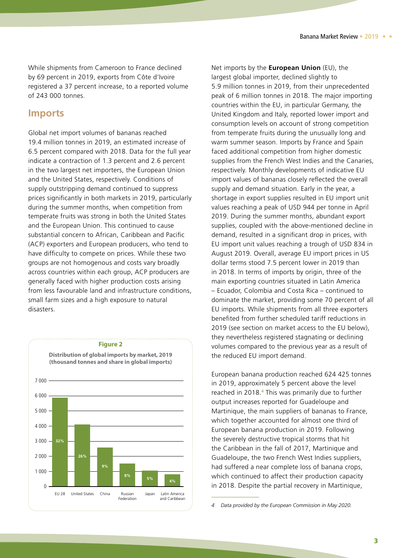<span id="page-10-0"></span>While shipments from Cameroon to France declined by 69 percent in 2019, exports from Côte d'Ivoire registered a 37 percent increase, to a reported volume of 243 000 tonnes.

#### **Imports**

Global net import volumes of bananas reached 19.4 million tonnes in 2019, an estimated increase of 6.5 percent compared with 2018. Data for the full year indicate a contraction of 1.3 percent and 2.6 percent in the two largest net importers, the European Union and the United States, respectively. Conditions of supply outstripping demand continued to suppress prices significantly in both markets in 2019, particularly during the summer months, when competition from temperate fruits was strong in both the United States and the European Union. This continued to cause substantial concern to African, Caribbean and Pacific (ACP) exporters and European producers, who tend to have difficulty to compete on prices. While these two groups are not homogenous and costs vary broadly across countries within each group, ACP producers are generally faced with higher production costs arising from less favourable land and infrastructure conditions, small farm sizes and a high exposure to natural disasters.



#### Net imports by the **European Union** (EU), the largest global importer, declined slightly to 5.9 million tonnes in 2019, from their unprecedented peak of 6 million tonnes in 2018. The major importing countries within the EU, in particular Germany, the United Kingdom and Italy, reported lower import and consumption levels on account of strong competition from temperate fruits during the unusually long and warm summer season. Imports by France and Spain faced additional competition from higher domestic supplies from the French West Indies and the Canaries, respectively. Monthly developments of indicative EU import values of bananas closely reflected the overall supply and demand situation. Early in the year, a shortage in export supplies resulted in EU import unit values reaching a peak of USD 944 per tonne in April 2019. During the summer months, abundant export supplies, coupled with the above-mentioned decline in demand, resulted in a significant drop in prices, with EU import unit values reaching a trough of USD 834 in August 2019. Overall, average EU import prices in US dollar terms stood 7.5 percent lower in 2019 than in 2018. In terms of imports by origin, three of the main exporting countries situated in Latin America – Ecuador, Colombia and Costa Rica – continued to dominate the market, providing some 70 percent of all EU imports. While shipments from all three exporters benefited from further scheduled tariff reductions in 2019 (see section on market access to the EU below), they nevertheless registered stagnating or declining volumes compared to the previous year as a result of the reduced EU import demand.

European banana production reached 624 425 tonnes in 2019, approximately 5 percent above the level reached in 2018.<sup>4</sup> This was primarily due to further output increases reported for Guadeloupe and Martinique, the main suppliers of bananas to France, which together accounted for almost one third of European banana production in 2019. Following the severely destructive tropical storms that hit the Caribbean in the fall of 2017, Martinique and Guadeloupe, the two French West Indies suppliers, had suffered a near complete loss of banana crops, which continued to affect their production capacity in 2018. Despite the partial recovery in Martinique,

*4 Data provided by the European Commission in May 2020.*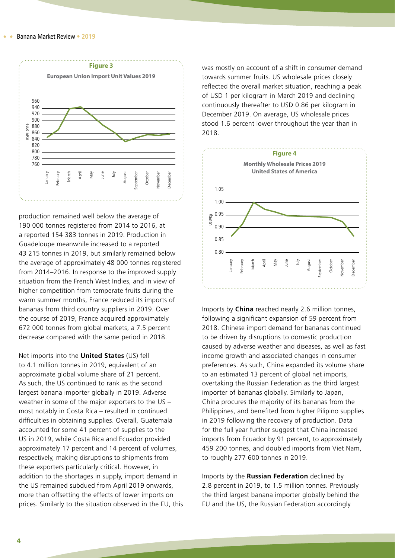

production remained well below the average of 190 000 tonnes registered from 2014 to 2016, at a reported 154 383 tonnes in 2019. Production in Guadeloupe meanwhile increased to a reported 43 215 tonnes in 2019, but similarly remained below the average of approximately 48 000 tonnes registered from 2014–2016. In response to the improved supply situation from the French West Indies, and in view of higher competition from temperate fruits during the warm summer months, France reduced its imports of bananas from third country suppliers in 2019. Over the course of 2019, France acquired approximately 672 000 tonnes from global markets, a 7.5 percent decrease compared with the same period in 2018.

Net imports into the **United States** (US) fell to 4.1 million tonnes in 2019, equivalent of an approximate global volume share of 21 percent. As such, the US continued to rank as the second largest banana importer globally in 2019. Adverse weather in some of the major exporters to the US – most notably in Costa Rica – resulted in continued difficulties in obtaining supplies. Overall, Guatemala accounted for some 41 percent of supplies to the US in 2019, while Costa Rica and Ecuador provided approximately 17 percent and 14 percent of volumes, respectively, making disruptions to shipments from these exporters particularly critical. However, in addition to the shortages in supply, import demand in the US remained subdued from April 2019 onwards, more than offsetting the effects of lower imports on prices. Similarly to the situation observed in the EU, this was mostly on account of a shift in consumer demand towards summer fruits. US wholesale prices closely reflected the overall market situation, reaching a peak of USD 1 per kilogram in March 2019 and declining continuously thereafter to USD 0.86 per kilogram in December 2019. On average, US wholesale prices stood 1.6 percent lower throughout the year than in 2018.



Imports by **China** reached nearly 2.6 million tonnes, following a significant expansion of 59 percent from 2018. Chinese import demand for bananas continued to be driven by disruptions to domestic production caused by adverse weather and diseases, as well as fast income growth and associated changes in consumer preferences. As such, China expanded its volume share to an estimated 13 percent of global net imports, overtaking the Russian Federation as the third largest importer of bananas globally. Similarly to Japan, China procures the majority of its bananas from the Philippines, and benefited from higher Pilipino supplies in 2019 following the recovery of production. Data for the full year further suggest that China increased imports from Ecuador by 91 percent, to approximately 459 200 tonnes, and doubled imports from Viet Nam, to roughly 277 600 tonnes in 2019.

Imports by the **Russian Federation** declined by 2.8 percent in 2019, to 1.5 million tonnes. Previously the third largest banana importer globally behind the EU and the US, the Russian Federation accordingly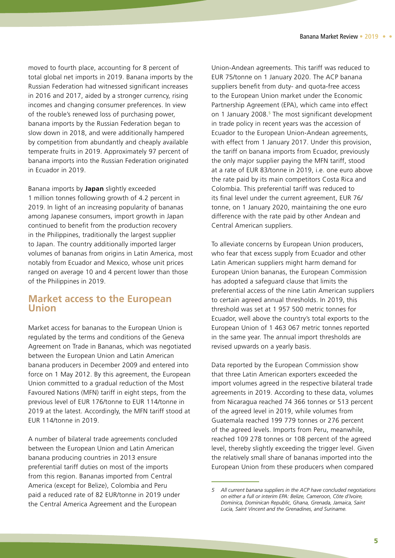<span id="page-12-0"></span>moved to fourth place, accounting for 8 percent of total global net imports in 2019. Banana imports by the Russian Federation had witnessed significant increases in 2016 and 2017, aided by a stronger currency, rising incomes and changing consumer preferences. In view of the rouble's renewed loss of purchasing power, banana imports by the Russian Federation began to slow down in 2018, and were additionally hampered by competition from abundantly and cheaply available temperate fruits in 2019. Approximately 97 percent of banana imports into the Russian Federation originated in Ecuador in 2019.

Banana imports by **Japan** slightly exceeded 1 million tonnes following growth of 4.2 percent in 2019. In light of an increasing popularity of bananas among Japanese consumers, import growth in Japan continued to benefit from the production recovery in the Philippines, traditionally the largest supplier to Japan. The country additionally imported larger volumes of bananas from origins in Latin America, most notably from Ecuador and Mexico, whose unit prices ranged on average 10 and 4 percent lower than those of the Philippines in 2019.

#### **Market access to the European Union**

Market access for bananas to the European Union is regulated by the terms and conditions of the Geneva Agreement on Trade in Bananas, which was negotiated between the European Union and Latin American banana producers in December 2009 and entered into force on 1 May 2012. By this agreement, the European Union committed to a gradual reduction of the Most Favoured Nations (MFN) tariff in eight steps, from the previous level of EUR 176/tonne to EUR 114/tonne in 2019 at the latest. Accordingly, the MFN tariff stood at EUR 114/tonne in 2019.

A number of bilateral trade agreements concluded between the European Union and Latin American banana producing countries in 2013 ensure preferential tariff duties on most of the imports from this region. Bananas imported from Central America (except for Belize), Colombia and Peru paid a reduced rate of 82 EUR/tonne in 2019 under the Central America Agreement and the European

Union-Andean agreements. This tariff was reduced to EUR 75/tonne on 1 January 2020. The ACP banana suppliers benefit from duty- and quota-free access to the European Union market under the Economic Partnership Agreement (EPA), which came into effect on 1 January 2008.<sup>5</sup> The most significant development in trade policy in recent years was the accession of Ecuador to the European Union-Andean agreements, with effect from 1 January 2017. Under this provision, the tariff on banana imports from Ecuador, previously the only major supplier paying the MFN tariff, stood at a rate of EUR 83/tonne in 2019, i.e. one euro above the rate paid by its main competitors Costa Rica and Colombia. This preferential tariff was reduced to its final level under the current agreement, EUR 76/ tonne, on 1 January 2020, maintaining the one euro difference with the rate paid by other Andean and Central American suppliers.

To alleviate concerns by European Union producers, who fear that excess supply from Ecuador and other Latin American suppliers might harm demand for European Union bananas, the European Commission has adopted a safeguard clause that limits the preferential access of the nine Latin American suppliers to certain agreed annual thresholds. In 2019, this threshold was set at 1 957 500 metric tonnes for Ecuador, well above the country's total exports to the European Union of 1 463 067 metric tonnes reported in the same year. The annual import thresholds are revised upwards on a yearly basis.

Data reported by the European Commission show that three Latin American exporters exceeded the import volumes agreed in the respective bilateral trade agreements in 2019. According to these data, volumes from Nicaragua reached 74 366 tonnes or 513 percent of the agreed level in 2019, while volumes from Guatemala reached 199 779 tonnes or 276 percent of the agreed levels. Imports from Peru, meanwhile, reached 109 278 tonnes or 108 percent of the agreed level, thereby slightly exceeding the trigger level. Given the relatively small share of bananas imported into the European Union from these producers when compared

*<sup>5</sup> All current banana suppliers in the ACP have concluded negotiations on either a full or interim EPA: Belize, Cameroon, Côte d'Ivoire, Dominica, Dominican Republic, Ghana, Grenada, Jamaica, Saint Lucia, Saint Vincent and the Grenadines, and Suriname.*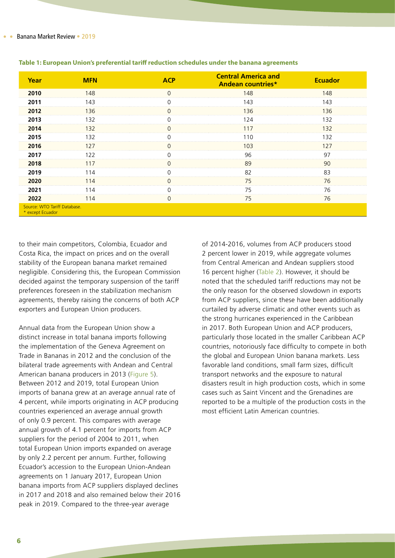| Year                                             | <b>MFN</b> | <b>Central America and</b><br><b>Andean countries*</b> | <b>Ecuador</b> |
|--------------------------------------------------|------------|--------------------------------------------------------|----------------|
| 2010                                             | 148        | 48                                                     | 148            |
| 2011                                             | 143        | 143                                                    | 43             |
| 2012                                             | 136        | 136                                                    | -36            |
| 2013                                             | -32        | 74                                                     | 32             |
| 2014                                             | -32        |                                                        | 32             |
| 2015                                             | 132        | .1 Q                                                   | 32             |
| 2016                                             |            | I O 3                                                  |                |
| 2017                                             | -22        | 96                                                     | 97             |
| 2018                                             |            | 89                                                     | -) ( J         |
| 2019                                             |            | 82                                                     | 83             |
| 2020                                             |            | 75                                                     | 76             |
| 2021                                             |            | 75                                                     | 76             |
| 2022                                             | 114        | 75                                                     | 76             |
| Source: WTO Tariff Database.<br>* except Ecuador |            |                                                        |                |

#### **Table 1: European Union's preferential tariff reduction schedules under the banana agreements**

to their main competitors, Colombia, Ecuador and Costa Rica, the impact on prices and on the overall stability of the European banana market remained negligible. Considering this, the European Commission decided against the temporary suspension of the tariff preferences foreseen in the stabilization mechanism agreements, thereby raising the concerns of both ACP exporters and European Union producers.

Annual data from the European Union show a distinct increase in total banana imports following the implementation of the Geneva Agreement on Trade in Bananas in 2012 and the conclusion of the bilateral trade agreements with Andean and Central American banana producers in 2013 (Figure 5). Between 2012 and 2019, total European Union imports of banana grew at an average annual rate of 4 percent, while imports originating in ACP producing countries experienced an average annual growth of only 0.9 percent. This compares with average annual growth of 4.1 percent for imports from ACP suppliers for the period of 2004 to 2011, when total European Union imports expanded on average by only 2.2 percent per annum. Further, following Ecuador's accession to the European Union-Andean agreements on 1 January 2017, European Union banana imports from ACP suppliers displayed declines in 2017 and 2018 and also remained below their 2016 peak in 2019. Compared to the three-year average

of 2014-2016, volumes from ACP producers stood 2 percent lower in 2019, while aggregate volumes from Central American and Andean suppliers stood 16 percent higher (Table 2). However, it should be noted that the scheduled tariff reductions may not be the only reason for the observed slowdown in exports from ACP suppliers, since these have been additionally curtailed by adverse climatic and other events such as the strong hurricanes experienced in the Caribbean in 2017. Both European Union and ACP producers, particularly those located in the smaller Caribbean ACP countries, notoriously face difficulty to compete in both the global and European Union banana markets. Less favorable land conditions, small farm sizes, difficult transport networks and the exposure to natural disasters result in high production costs, which in some cases such as Saint Vincent and the Grenadines are reported to be a multiple of the production costs in the most efficient Latin American countries.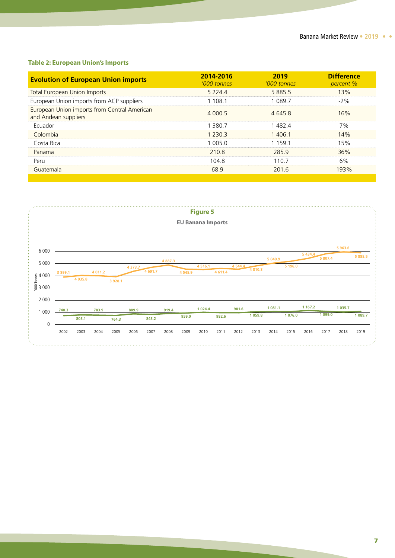#### **Table 2: European Union's Imports**

| <b>Evolution of European Union imports</b>                           | 2014-2016<br>'000 tonnes | 2019<br>'000 tonnes | <b>Difference</b><br>percent % |
|----------------------------------------------------------------------|--------------------------|---------------------|--------------------------------|
| <b>Total European Union Imports</b>                                  | 5 2 2 4                  | 58855               | 13%                            |
| European Union imports from ACP suppliers                            | 108.1                    | O89 7               |                                |
| European Union imports from Central American<br>and Andean suppliers | 4 000 5                  | 46458               | 16%                            |
| <b>Ecuador</b>                                                       | 380.7                    | 482 4               | 7%                             |
| Colombia                                                             | - 230.3                  | 1 406 1             | 14%                            |
| Costa Rica                                                           | 1 005 0                  | 1 1 5 9 1           | 15%                            |
| Panama                                                               | 210.8                    | 2859                | 36%                            |
| Peru                                                                 | 1048                     | 110.7               | 6%                             |
| Guatemala                                                            | 68 9                     | 201.6               |                                |
|                                                                      |                          |                     |                                |

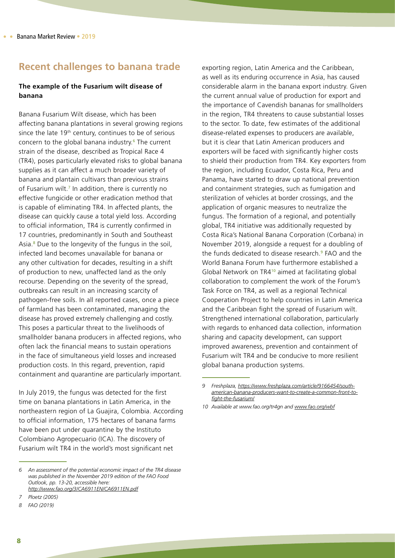#### <span id="page-15-0"></span>**Recent challenges to banana trade**

#### **The example of the Fusarium wilt disease of banana**

Banana Fusarium Wilt disease, which has been affecting banana plantations in several growing regions since the late  $19<sup>th</sup>$  century, continues to be of serious concern to the global banana industry.<sup>6</sup> The current strain of the disease, described as Tropical Race 4 (TR4), poses particularly elevated risks to global banana supplies as it can affect a much broader variety of banana and plantain cultivars than previous strains of Fusarium wilt.<sup>7</sup> In addition, there is currently no effective fungicide or other eradication method that is capable of eliminating TR4. In affected plants, the disease can quickly cause a total yield loss. According to official information, TR4 is currently confirmed in 17 countries, predominantly in South and Southeast Asia.<sup>8</sup> Due to the longevity of the fungus in the soil, infected land becomes unavailable for banana or any other cultivation for decades, resulting in a shift of production to new, unaffected land as the only recourse. Depending on the severity of the spread, outbreaks can result in an increasing scarcity of pathogen-free soils. In all reported cases, once a piece of farmland has been contaminated, managing the disease has proved extremely challenging and costly. This poses a particular threat to the livelihoods of smallholder banana producers in affected regions, who often lack the financial means to sustain operations in the face of simultaneous yield losses and increased production costs. In this regard, prevention, rapid containment and quarantine are particularly important.

In July 2019, the fungus was detected for the first time on banana plantations in Latin America, in the northeastern region of La Guajira, Colombia. According to official information, 175 hectares of banana farms have been put under quarantine by the Instituto Colombiano Agropecuario (ICA). The discovery of Fusarium wilt TR4 in the world's most significant net

exporting region, Latin America and the Caribbean, as well as its enduring occurrence in Asia, has caused considerable alarm in the banana export industry. Given the current annual value of production for export and the importance of Cavendish bananas for smallholders in the region, TR4 threatens to cause substantial losses to the sector. To date, few estimates of the additional disease-related expenses to producers are available, but it is clear that Latin American producers and exporters will be faced with significantly higher costs to shield their production from TR4. Key exporters from the region, including Ecuador, Costa Rica, Peru and Panama, have started to draw up national prevention and containment strategies, such as fumigation and sterilization of vehicles at border crossings, and the application of organic measures to neutralize the fungus. The formation of a regional, and potentially global, TR4 initiative was additionally requested by Costa Rica's National Banana Corporation (Corbana) in November 2019, alongside a request for a doubling of the funds dedicated to disease research.<sup>9</sup> FAO and the World Banana Forum have furthermore established a Global Network on TR4<sup>10</sup> aimed at facilitating global collaboration to complement the work of the Forum's Task Force on TR4, as well as a regional Technical Cooperation Project to help countries in Latin America and the Caribbean fight the spread of Fusarium wilt. Strengthened international collaboration, particularly with regards to enhanced data collection, information sharing and capacity development, can support improved awareness, prevention and containment of Fusarium wilt TR4 and be conducive to more resilient global banana production systems.

*<sup>6</sup> An assessment of the potential economic impact of the TR4 disease was published in the November 2019 edition of the FAO Food Outlook, pp. 13-20, accessible here: <http://www.fao.org/3/CA6911EN/CA6911EN.pdf>*

*<sup>7</sup> Ploetz (2005)*

*<sup>8</sup> FAO (2019)*

*<sup>9</sup> Freshplaza, [https://www.freshplaza.com/article/9166454/south](https://www.freshplaza.com/article/9166454/south-american-banana-producers-want-to-create-a-common-f)[american-banana-producers-want-to-create-a-common-front-to](https://www.freshplaza.com/article/9166454/south-american-banana-producers-want-to-create-a-common-f)[fight-the-fusarium/](https://www.freshplaza.com/article/9166454/south-american-banana-producers-want-to-create-a-common-f)*

*<sup>10</sup> Available at www.fao.org/tr4gn and [www.fao.org/wbf](http://www.fao.org/wbf)*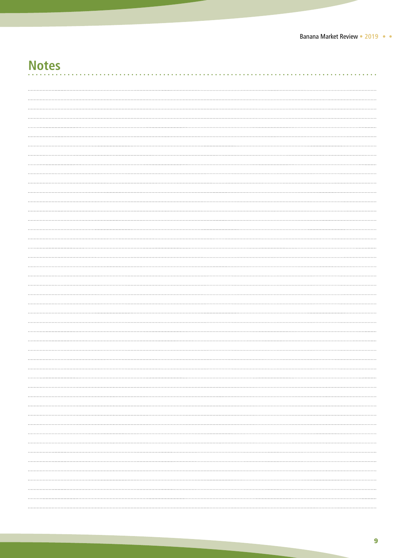# **Notes**